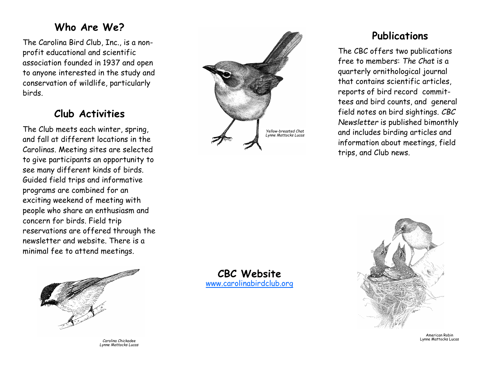### **Who Are We?**

The Carolina Bird Club, Inc., is a nonprofit educational and scientific association founded in 1937 and open to anyone interested in the study and conservation of wildlife, particularly birds.

### **Club Activities**

The Club meets each winter, spring, and fall at different locations in the Carolinas. Meeting sites are selected to give participants an opportunity to see many different kinds of birds. Guided field trips and informative programs are combined for an exciting weekend of meeting with people who share an enthusiasm and concern for birds. Field trip reservations are offered through the newsletter and website. There is a minimal fee to attend meetings.



*Carolina Chickadee Lynne Mattocks Lucas*



## **Publications**

The CBC offers two publications free to members: The Chat is a quarterly ornithological journal that contains scientific articles, reports of bird record committees and bird counts, and general field notes on bird sightings. *CBC Newsletter* is published bimonthly and includes birding articles and information about meetings, field trips, and Club news.

**CBC Website** [www.carolinabirdclub.org](http://www.carolinabirdclub.org/)



American Robin Lynne Mattocks Lucas